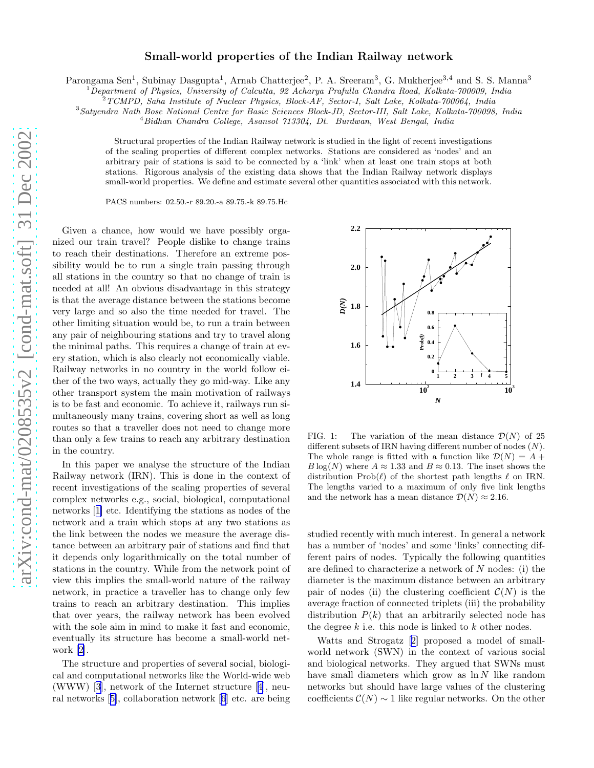## Small-world properties of the Indian Railway network

Parongama Sen<sup>1</sup>, Subinay Dasgupta<sup>1</sup>, Arnab Chatterjee<sup>2</sup>, P. A. Sreeram<sup>3</sup>, G. Mukherjee<sup>3,4</sup> and S. S. Manna<sup>3</sup>

<sup>1</sup>*Department of Physics, University of Calcutta, 92 Acharya Prafulla Chandra Road, Kolkata-700009, India*

<sup>2</sup>*TCMPD, Saha Institute of Nuclear Physics, Block-AF, Sector-I, Salt Lake, Kolkata-700064, India*

<sup>3</sup>*Satyendra Nath Bose National Centre for Basic Sciences Block-JD, Sector-III, Salt Lake, Kolkata-700098, India*

<sup>4</sup>*Bidhan Chandra College, Asansol 713304, Dt. Burdwan, West Bengal, India*

Structural properties of the Indian Railway network is studied in the light of recent investigations of the scaling properties of different complex networks. Stations are considered as 'nodes' and an arbitrary pair of stations is said to be connected by a 'link' when at least one train stops at both stations. Rigorous analysis of the existing data shows that the Indian Railway network displays small-world properties. We define and estimate several other quantities associated with this network.

PACS numbers: 02.50.-r 89.20.-a 89.75.-k 89.75.Hc

Given a chance, how would we have possibly organized our train travel? People dislike to change trains to reach their destinations. Therefore an extreme possibility would be to run a single train passing through all stations in the country so that no change of train is needed at all! An obvious disadvantage in this strategy is that the average distance between the stations become very large and so also the time needed for travel. The other limiting situation would be, to run a train between any pair of neighbouring stations and try to travel along the minimal paths. This requires a change of train at every station, which is also clearly not economically viable. Railway networks in no country in the world follow either of the two ways, actually they go mid-way. Like any other transport system the main motivation of railways is to be fast and economic. To achieve it, railways run simultaneously many trains, covering short as well as long routes so that a traveller does not need to change more than only a few trains to reach any arbitrary destination in the country.

In this paper we analyse the structure of the Indian Railway network (IRN). This is done in the context of recent investigations of the scaling properties of several complex networks e.g., social, biological, computational networks[[1\]](#page-4-0) etc. Identifying the stations as nodes of the network and a train which stops at any two stations as the link between the nodes we measure the average distance between an arbitrary pair of stations and find that it depends only logarithmically on the total number of stations in the country. While from the network point of view this implies the small-world nature of the railway network, in practice a traveller has to change only few trains to reach an arbitrary destination. This implies that over years, the railway network has been evolved with the sole aim in mind to make it fast and economic, eventually its structure has become a small-world network [\[2](#page-4-0)].

The structure and properties of several social, biological and computational networks like the World-wide web (WWW) [\[3](#page-4-0)], network of the Internet structure[[4\]](#page-4-0), neural networks[[5\]](#page-4-0), collaboration network [\[6](#page-4-0)] etc. are being



FIG. 1: The variation of the mean distance  $\mathcal{D}(N)$  of 25 different subsets of IRN having different number of nodes (N). The whole range is fitted with a function like  $\mathcal{D}(N) = A +$  $B \log(N)$  where  $A \approx 1.33$  and  $B \approx 0.13$ . The inset shows the distribution  $\text{Prob}(\ell)$  of the shortest path lengths  $\ell$  on IRN. The lengths varied to a maximum of only five link lengths and the network has a mean distance  $\mathcal{D}(N) \approx 2.16$ .

studied recently with much interest. In general a network has a number of 'nodes' and some 'links' connecting different pairs of nodes. Typically the following quantities are defined to characterize a network of N nodes: (i) the diameter is the maximum distance between an arbitrary pair of nodes (ii) the clustering coefficient  $\mathcal{C}(N)$  is the average fraction of connected triplets (iii) the probability distribution  $P(k)$  that an arbitrarily selected node has the degree  $k$  i.e. this node is linked to  $k$  other nodes.

Watts and Strogatz[[2](#page-4-0)] proposed a model of smallworld network (SWN) in the context of various social and biological networks. They argued that SWNs must have small diameters which grow as  $\ln N$  like random networks but should have large values of the clustering coefficients  $\mathcal{C}(N) \sim 1$  like regular networks. On the other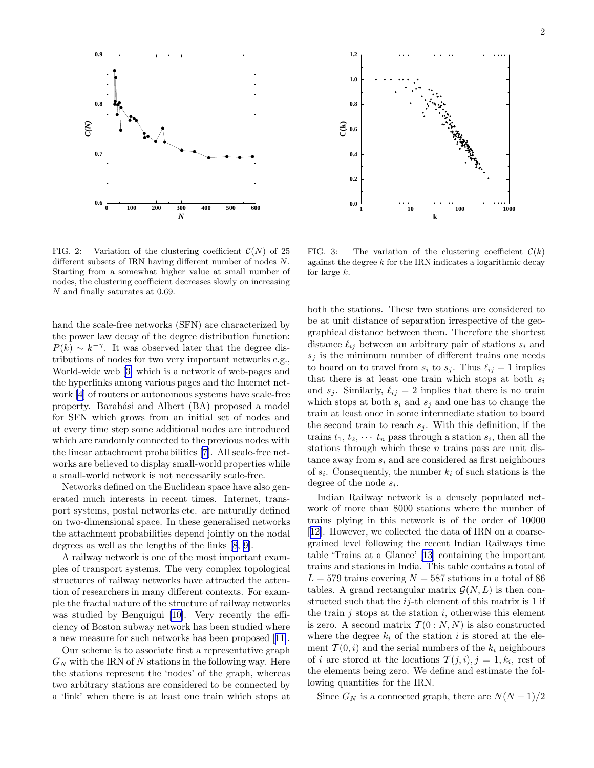

FIG. 2: Variation of the clustering coefficient  $\mathcal{C}(N)$  of 25 different subsets of IRN having different number of nodes N. Starting from a somewhat higher value at small number of nodes, the clustering coefficient decreases slowly on increasing N and finally saturates at 0.69.

hand the scale-free networks (SFN) are characterized by the power law decay of the degree distribution function:  $P(k) \sim k^{-\gamma}$ . It was observed later that the degree distributions of nodes for two very important networks e.g., World-wide web[[3\]](#page-4-0) which is a network of web-pages and the hyperlinks among various pages and the Internet network [\[4](#page-4-0)] of routers or autonomous systems have scale-free property. Barabási and Albert (BA) proposed a model for SFN which grows from an initial set of nodes and at every time step some additional nodes are introduced which are randomly connected to the previous nodes with the linear attachment probabilities [\[7\]](#page-4-0). All scale-free networks are believed to display small-world properties while a small-world network is not necessarily scale-free.

Networks defined on the Euclidean space have also generated much interests in recent times. Internet, transport systems, postal networks etc. are naturally defined on two-dimensional space. In these generalised networks the attachment probabilities depend jointly on the nodal degrees as well as the lengths of the links [\[8, 9](#page-4-0)].

A railway network is one of the most important examples of transport systems. The very complex topological structures of railway networks have attracted the attention of researchers in many different contexts. For example the fractal nature of the structure of railway networks was studied by Benguigui[[10\]](#page-4-0). Very recently the efficiency of Boston subway network has been studied where a new measure for such networks has been proposed[[11\]](#page-4-0).

Our scheme is to associate first a representative graph  $G_N$  with the IRN of N stations in the following way. Here the stations represent the 'nodes' of the graph, whereas two arbitrary stations are considered to be connected by a 'link' when there is at least one train which stops at



FIG. 3: The variation of the clustering coefficient  $\mathcal{C}(k)$ against the degree  $k$  for the IRN indicates a logarithmic decay for large  $k$ .

both the stations. These two stations are considered to be at unit distance of separation irrespective of the geographical distance between them. Therefore the shortest distance  $\ell_{ij}$  between an arbitrary pair of stations  $s_i$  and  $s_j$  is the minimum number of different trains one needs to board on to travel from  $s_i$  to  $s_j$ . Thus  $\ell_{ij} = 1$  implies that there is at least one train which stops at both  $s_i$ and  $s_i$ . Similarly,  $\ell_{ij} = 2$  implies that there is no train which stops at both  $s_i$  and  $s_j$  and one has to change the train at least once in some intermediate station to board the second train to reach  $s_j$ . With this definition, if the trains  $t_1, t_2, \cdots t_n$  pass through a station  $s_i$ , then all the stations through which these  $n$  trains pass are unit distance away from  $s_i$  and are considered as first neighbours of  $s_i$ . Consequently, the number  $k_i$  of such stations is the degree of the node  $s_i$ .

Indian Railway network is a densely populated network of more than 8000 stations where the number of trains plying in this network is of the order of 10000 [[12\]](#page-4-0). However, we collected the data of IRN on a coarsegrained level following the recent Indian Railways time table 'Trains at a Glance'[[13\]](#page-4-0) containing the important trains and stations in India. This table contains a total of  $L = 579$  trains covering  $N = 587$  stations in a total of 86 tables. A grand rectangular matrix  $\mathcal{G}(N, L)$  is then constructed such that the  $ij$ -th element of this matrix is 1 if the train  $j$  stops at the station  $i$ , otherwise this element is zero. A second matrix  $\mathcal{T}(0:N,N)$  is also constructed where the degree  $k_i$  of the station i is stored at the element  $\mathcal{T}(0,i)$  and the serial numbers of the  $k_i$  neighbours of *i* are stored at the locations  $\mathcal{T}(j,i), j = 1, k_i$ , rest of the elements being zero. We define and estimate the following quantities for the IRN.

Since  $G_N$  is a connected graph, there are  $N(N-1)/2$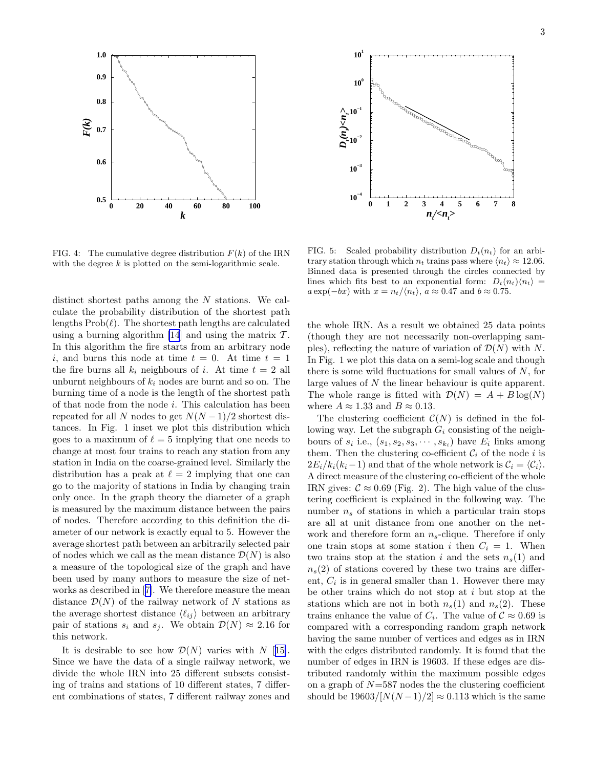

FIG. 4: The cumulative degree distribution  $F(k)$  of the IRN with the degree  $k$  is plotted on the semi-logarithmic scale.

distinct shortest paths among the  $N$  stations. We calculate the probability distribution of the shortest path lengths  $\text{Prob}(\ell)$ . The shortest path lengths are calculated using a burning algorithm [\[14](#page-4-0)] and using the matrix  $\mathcal{T}$ . In this algorithm the fire starts from an arbitrary node i, and burns this node at time  $t = 0$ . At time  $t = 1$ the fire burns all  $k_i$  neighbours of i. At time  $t = 2$  all unburnt neighbours of  $k_i$  nodes are burnt and so on. The burning time of a node is the length of the shortest path of that node from the node i. This calculation has been repeated for all N nodes to get  $N(N-1)/2$  shortest distances. In Fig. 1 inset we plot this distribution which goes to a maximum of  $\ell = 5$  implying that one needs to change at most four trains to reach any station from any station in India on the coarse-grained level. Similarly the distribution has a peak at  $\ell = 2$  implying that one can go to the majority of stations in India by changing train only once. In the graph theory the diameter of a graph is measured by the maximum distance between the pairs of nodes. Therefore according to this definition the diameter of our network is exactly equal to 5. However the average shortest path between an arbitrarily selected pair of nodes which we call as the mean distance  $\mathcal{D}(N)$  is also a measure of the topological size of the graph and have been used by many authors to measure the size of networks as described in[[7\]](#page-4-0). We therefore measure the mean distance  $\mathcal{D}(N)$  of the railway network of N stations as the average shortest distance  $\langle \ell_{ij} \rangle$  between an arbitrary pair of stations  $s_i$  and  $s_j$ . We obtain  $\mathcal{D}(N) \approx 2.16$  for this network.

It is desirable to see how  $\mathcal{D}(N)$  varies with N [[15\]](#page-4-0). Since we have the data of a single railway network, we divide the whole IRN into 25 different subsets consisting of trains and stations of 10 different states, 7 different combinations of states, 7 different railway zones and



FIG. 5: Scaled probability distribution  $D_t(n_t)$  for an arbitrary station through which  $n_t$  trains pass where  $\langle n_t \rangle \approx 12.06$ . Binned data is presented through the circles connected by lines which fits best to an exponential form:  $D_t(n_t)\langle n_t \rangle =$  $a \exp(-bx)$  with  $x = n_t / \langle n_t \rangle$ ,  $a \approx 0.47$  and  $b \approx 0.75$ .

the whole IRN. As a result we obtained 25 data points (though they are not necessarily non-overlapping samples), reflecting the nature of variation of  $\mathcal{D}(N)$  with N. In Fig. 1 we plot this data on a semi-log scale and though there is some wild fluctuations for small values of  $N$ , for large values of N the linear behaviour is quite apparent. The whole range is fitted with  $\mathcal{D}(N) = A + B \log(N)$ where  $A \approx 1.33$  and  $B \approx 0.13$ .

The clustering coefficient  $\mathcal{C}(N)$  is defined in the following way. Let the subgraph  $G_i$  consisting of the neighbours of  $s_i$  i.e.,  $(s_1, s_2, s_3, \dots, s_{k_i})$  have  $E_i$  links among them. Then the clustering co-efficient  $\mathcal{C}_i$  of the node i is  $2E_i/k_i(k_i-1)$  and that of the whole network is  $C_i = \langle C_i \rangle$ . A direct measure of the clustering co-efficient of the whole IRN gives:  $\mathcal{C} \approx 0.69$  (Fig. 2). The high value of the clustering coefficient is explained in the following way. The number  $n<sub>s</sub>$  of stations in which a particular train stops are all at unit distance from one another on the network and therefore form an  $n_s$ -clique. Therefore if only one train stops at some station i then  $C_i = 1$ . When two trains stop at the station i and the sets  $n_s(1)$  and  $n_s(2)$  of stations covered by these two trains are different,  $C_i$  is in general smaller than 1. However there may be other trains which do not stop at i but stop at the stations which are not in both  $n_s(1)$  and  $n_s(2)$ . These trains enhance the value of  $C_i$ . The value of  $C \approx 0.69$  is compared with a corresponding random graph network having the same number of vertices and edges as in IRN with the edges distributed randomly. It is found that the number of edges in IRN is 19603. If these edges are distributed randomly within the maximum possible edges on a graph of  $N=587$  nodes the the clustering coefficient should be  $19603/[N(N-1)/2] \approx 0.113$  which is the same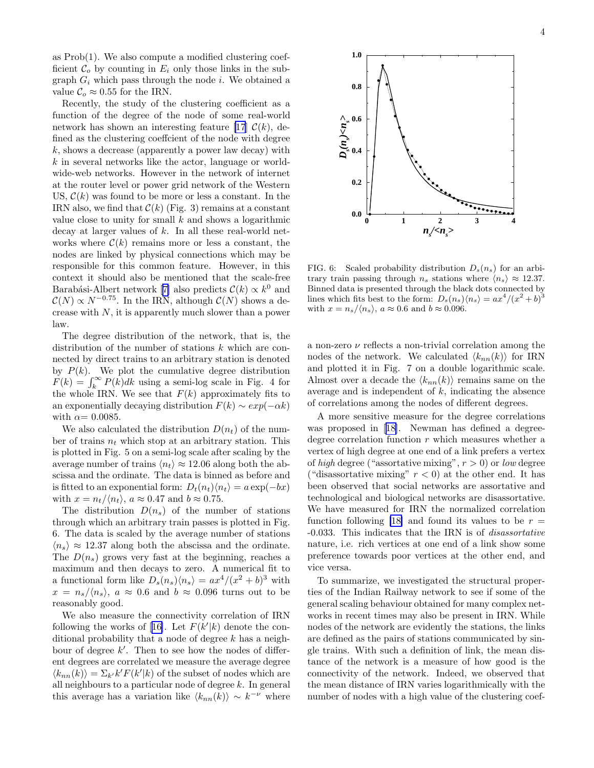as Prob(1). We also compute a modified clustering coefficient  $\mathcal{C}_o$  by counting in  $E_i$  only those links in the subgraph  $G_i$  which pass through the node i. We obtained a value  $\mathcal{C}_o \approx 0.55$  for the IRN.

Recently, the study of the clustering coefficient as a function of the degree of the node of some real-world network has shown an interesting feature [\[17](#page-4-0)]  $\mathcal{C}(k)$ , defined as the clustering coeffcient of the node with degree  $k$ , shows a decrease (apparently a power law decay) with k in several networks like the actor, language or worldwide-web networks. However in the network of internet at the router level or power grid network of the Western US,  $\mathcal{C}(k)$  was found to be more or less a constant. In the IRN also, we find that  $\mathcal{C}(k)$  (Fig. 3) remains at a constant value close to unity for small  $k$  and shows a logarithmic decay at larger values of  $k$ . In all these real-world networks where  $\mathcal{C}(k)$  remains more or less a constant, the nodes are linked by physical connections which may be responsible for this common feature. However, in this context it should also be mentioned that the scale-free Barabási-Albertnetwork [[7\]](#page-4-0) also predicts  $\mathcal{C}(k) \propto k^0$  and  $\mathcal{C}(N) \propto N^{-0.75}$ . In the IRN, although  $\mathcal{C}(N)$  shows a decrease with  $N$ , it is apparently much slower than a power law.

The degree distribution of the network, that is, the distribution of the number of stations k which are connected by direct trains to an arbitrary station is denoted by  $P(k)$ . We plot the cumulative degree distribution  $F(k) = \int_k^{\infty} P(k)dk$  using a semi-log scale in Fig. 4 for the whole IRN. We see that  $F(k)$  approximately fits to an exponentially decaying distribution  $F(k) \sim exp(-\alpha k)$ with  $\alpha=0.0085$ .

We also calculated the distribution  $D(n_t)$  of the number of trains  $n_t$  which stop at an arbitrary station. This is plotted in Fig. 5 on a semi-log scale after scaling by the average number of trains  $\langle n_t \rangle \approx 12.06$  along both the abscissa and the ordinate. The data is binned as before and is fitted to an exponential form:  $D_t(n_t)\langle n_t\rangle = a \exp(-bx)$ with  $x = n_t / \langle n_t \rangle$ ,  $a \approx 0.47$  and  $b \approx 0.75$ .

The distribution  $D(n_s)$  of the number of stations through which an arbitrary train passes is plotted in Fig. 6. The data is scaled by the average number of stations  $\langle n_{s} \rangle \approx 12.37$  along both the abscissa and the ordinate. The  $D(n_s)$  grows very fast at the beginning, reaches a maximum and then decays to zero. A numerical fit to a functional form like  $D_s(n_s)\langle n_s \rangle = ax^4/(x^2 + b)^3$  with  $x = n_s / \langle n_s \rangle$ ,  $a \approx 0.6$  and  $b \approx 0.096$  turns out to be reasonably good.

We also measure the connectivity correlation of IRN followingthe works of [[16\]](#page-4-0). Let  $F(k'|k)$  denote the conditional probability that a node of degree  $k$  has a neighbour of degree  $k'$ . Then to see how the nodes of different degrees are correlated we measure the average degree  $\langle k_{nn}(k) \rangle = \sum_{k'} k' F(k'|k)$  of the subset of nodes which are all neighbours to a particular node of degree  $k$ . In general this average has a variation like  $\langle k_{nn}(\tilde{k})\rangle \sim k^{-\nu}$  where



FIG. 6: Scaled probability distribution  $D_s(n_s)$  for an arbitrary train passing through  $n_s$  stations where  $\langle n_s \rangle \approx 12.37$ . Binned data is presented through the black dots connected by lines which fits best to the form:  $D_s(n_s)\langle n_s \rangle = a x^4/(x^2 + b)^3$ with  $x = n_s / \langle n_s \rangle$ ,  $a \approx 0.6$  and  $b \approx 0.096$ .

a non-zero  $\nu$  reflects a non-trivial correlation among the nodes of the network. We calculated  $\langle k_{nn}(k) \rangle$  for IRN and plotted it in Fig. 7 on a double logarithmic scale. Almost over a decade the  $\langle k_{nn}(k) \rangle$  remains same on the average and is independent of  $k$ , indicating the absence of correlations among the nodes of different degrees.

A more sensitive measure for the degree correlations was proposed in[[18\]](#page-4-0). Newman has defined a degreedegree correlation function r which measures whether a vertex of high degree at one end of a link prefers a vertex of high degree ("assortative mixing",  $r > 0$ ) or low degree ("disassortative mixing"  $r < 0$ ) at the other end. It has been observed that social networks are assortative and technological and biological networks are disassortative. We have measured for IRN the normalized correlation function following [\[18\]](#page-4-0) and found its values to be  $r =$ -0.033. This indicates that the IRN is of disassortative nature, i.e. rich vertices at one end of a link show some preference towards poor vertices at the other end, and vice versa.

To summarize, we investigated the structural properties of the Indian Railway network to see if some of the general scaling behaviour obtained for many complex networks in recent times may also be present in IRN. While nodes of the network are evidently the stations, the links are defined as the pairs of stations communicated by single trains. With such a definition of link, the mean distance of the network is a measure of how good is the connectivity of the network. Indeed, we observed that the mean distance of IRN varies logarithmically with the number of nodes with a high value of the clustering coef-